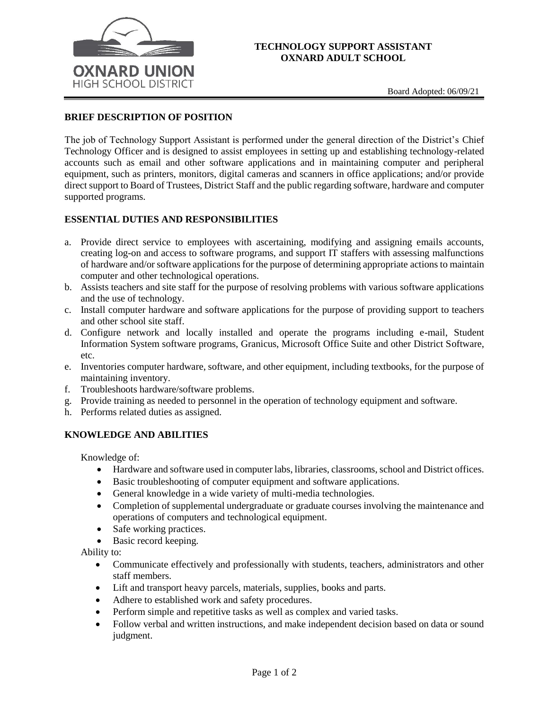

### **TECHNOLOGY SUPPORT ASSISTANT OXNARD ADULT SCHOOL**

#### **BRIEF DESCRIPTION OF POSITION**

The job of Technology Support Assistant is performed under the general direction of the District's Chief Technology Officer and is designed to assist employees in setting up and establishing technology-related accounts such as email and other software applications and in maintaining computer and peripheral equipment, such as printers, monitors, digital cameras and scanners in office applications; and/or provide direct support to Board of Trustees, District Staff and the public regarding software, hardware and computer supported programs.

## **ESSENTIAL DUTIES AND RESPONSIBILITIES**

- a. Provide direct service to employees with ascertaining, modifying and assigning emails accounts, creating log-on and access to software programs, and support IT staffers with assessing malfunctions of hardware and/or software applications for the purpose of determining appropriate actions to maintain computer and other technological operations.
- b. Assists teachers and site staff for the purpose of resolving problems with various software applications and the use of technology.
- c. Install computer hardware and software applications for the purpose of providing support to teachers and other school site staff.
- d. Configure network and locally installed and operate the programs including e-mail, Student Information System software programs, Granicus, Microsoft Office Suite and other District Software, etc.
- e. Inventories computer hardware, software, and other equipment, including textbooks, for the purpose of maintaining inventory.
- f. Troubleshoots hardware/software problems.
- g. Provide training as needed to personnel in the operation of technology equipment and software.
- h. Performs related duties as assigned.

#### **KNOWLEDGE AND ABILITIES**

Knowledge of:

- Hardware and software used in computer labs, libraries, classrooms, school and District offices.
- Basic troubleshooting of computer equipment and software applications.
- General knowledge in a wide variety of multi-media technologies.
- Completion of supplemental undergraduate or graduate courses involving the maintenance and operations of computers and technological equipment.
- Safe working practices.
- Basic record keeping.

Ability to:

- Communicate effectively and professionally with students, teachers, administrators and other staff members.
- Lift and transport heavy parcels, materials, supplies, books and parts.
- Adhere to established work and safety procedures.
- Perform simple and repetitive tasks as well as complex and varied tasks.
- Follow verbal and written instructions, and make independent decision based on data or sound judgment.